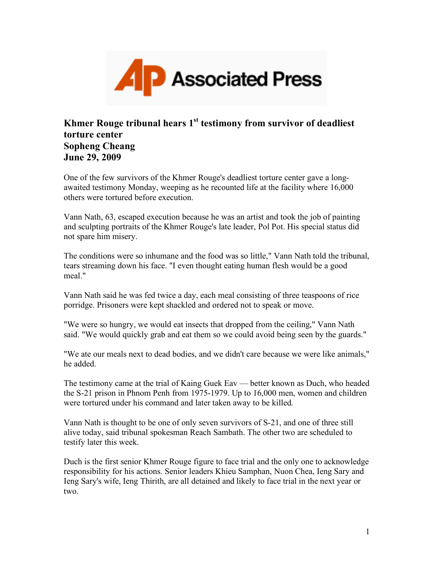

## **Khmer Rouge tribunal hears 1st testimony from survivor of deadliest torture center Sopheng Cheang June 29, 2009**

One of the few survivors of the Khmer Rouge's deadliest torture center gave a longawaited testimony Monday, weeping as he recounted life at the facility where 16,000 others were tortured before execution.

Vann Nath, 63, escaped execution because he was an artist and took the job of painting and sculpting portraits of the Khmer Rouge's late leader, Pol Pot. His special status did not spare him misery.

The conditions were so inhumane and the food was so little," Vann Nath told the tribunal, tears streaming down his face. "I even thought eating human flesh would be a good meal"

Vann Nath said he was fed twice a day, each meal consisting of three teaspoons of rice porridge. Prisoners were kept shackled and ordered not to speak or move.

"We were so hungry, we would eat insects that dropped from the ceiling," Vann Nath said. "We would quickly grab and eat them so we could avoid being seen by the guards."

"We ate our meals next to dead bodies, and we didn't care because we were like animals," he added.

The testimony came at the trial of Kaing Guek Eav — better known as Duch, who headed the S-21 prison in Phnom Penh from 1975-1979. Up to 16,000 men, women and children were tortured under his command and later taken away to be killed.

Vann Nath is thought to be one of only seven survivors of S-21, and one of three still alive today, said tribunal spokesman Reach Sambath. The other two are scheduled to testify later this week.

Duch is the first senior Khmer Rouge figure to face trial and the only one to acknowledge responsibility for his actions. Senior leaders Khieu Samphan, Nuon Chea, Ieng Sary and Ieng Sary's wife, Ieng Thirith, are all detained and likely to face trial in the next year or two.